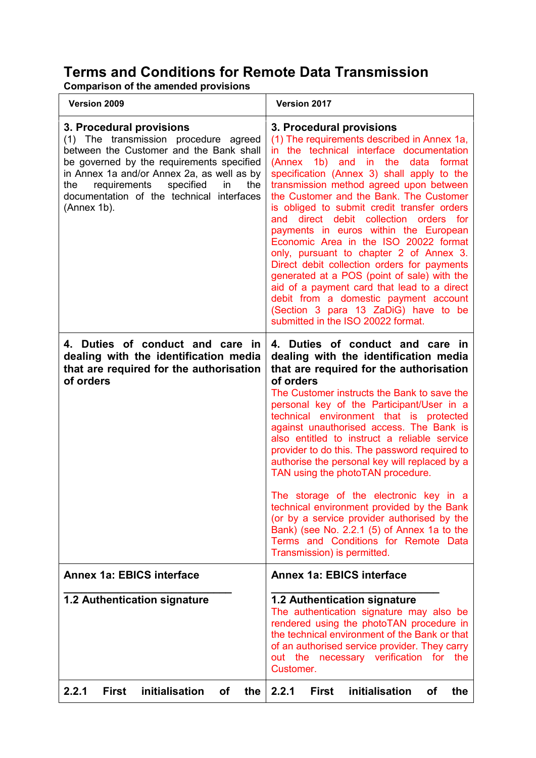## **Terms and Conditions for Remote Data Transmission**

**Comparison of the amended provisions**

| Version 2009                                                                                                                                                                                                                                                                                                         | Version 2017                                                                                                                                                                                                                                                                                                                                                                                                                                                                                                                                                                                                                                                                                                                                                                           |
|----------------------------------------------------------------------------------------------------------------------------------------------------------------------------------------------------------------------------------------------------------------------------------------------------------------------|----------------------------------------------------------------------------------------------------------------------------------------------------------------------------------------------------------------------------------------------------------------------------------------------------------------------------------------------------------------------------------------------------------------------------------------------------------------------------------------------------------------------------------------------------------------------------------------------------------------------------------------------------------------------------------------------------------------------------------------------------------------------------------------|
| 3. Procedural provisions<br>(1) The transmission procedure agreed<br>between the Customer and the Bank shall<br>be governed by the requirements specified<br>in Annex 1a and/or Annex 2a, as well as by<br>the<br>requirements<br>specified<br>in<br>the<br>documentation of the technical interfaces<br>(Annex 1b). | 3. Procedural provisions<br>(1) The requirements described in Annex 1a,<br>in the technical interface documentation<br>(Annex 1b) and in the data format<br>specification (Annex 3) shall apply to the<br>transmission method agreed upon between<br>the Customer and the Bank. The Customer<br>is obliged to submit credit transfer orders<br>and direct debit collection orders for<br>payments in euros within the European<br>Economic Area in the ISO 20022 format<br>only, pursuant to chapter 2 of Annex 3.<br>Direct debit collection orders for payments<br>generated at a POS (point of sale) with the<br>aid of a payment card that lead to a direct<br>debit from a domestic payment account<br>(Section 3 para 13 ZaDiG) have to be<br>submitted in the ISO 20022 format. |
| 4. Duties of conduct and care in<br>dealing with the identification media<br>that are required for the authorisation<br>of orders                                                                                                                                                                                    | 4. Duties of conduct and care in<br>dealing with the identification media<br>that are required for the authorisation<br>of orders<br>The Customer instructs the Bank to save the<br>personal key of the Participant/User in a<br>technical environment that is protected<br>against unauthorised access. The Bank is<br>also entitled to instruct a reliable service<br>provider to do this. The password required to<br>authorise the personal key will replaced by a<br>TAN using the photoTAN procedure.<br>The storage of the electronic key in a<br>technical environment provided by the Bank<br>(or by a service provider authorised by the<br>Bank) (see No. 2.2.1 (5) of Annex 1a to the<br>Terms and Conditions for Remote Data<br>Transmission) is permitted.               |
| <b>Annex 1a: EBICS interface</b>                                                                                                                                                                                                                                                                                     | <b>Annex 1a: EBICS interface</b>                                                                                                                                                                                                                                                                                                                                                                                                                                                                                                                                                                                                                                                                                                                                                       |
| 1.2 Authentication signature                                                                                                                                                                                                                                                                                         | 1.2 Authentication signature<br>The authentication signature may also be<br>rendered using the photoTAN procedure in<br>the technical environment of the Bank or that<br>of an authorised service provider. They carry<br>out the necessary verification for the<br>Customer.                                                                                                                                                                                                                                                                                                                                                                                                                                                                                                          |
| 2.2.1<br>initialisation<br><b>of</b><br><b>First</b><br>the                                                                                                                                                                                                                                                          | initialisation<br>2.2.1<br><b>First</b><br><b>of</b><br>the                                                                                                                                                                                                                                                                                                                                                                                                                                                                                                                                                                                                                                                                                                                            |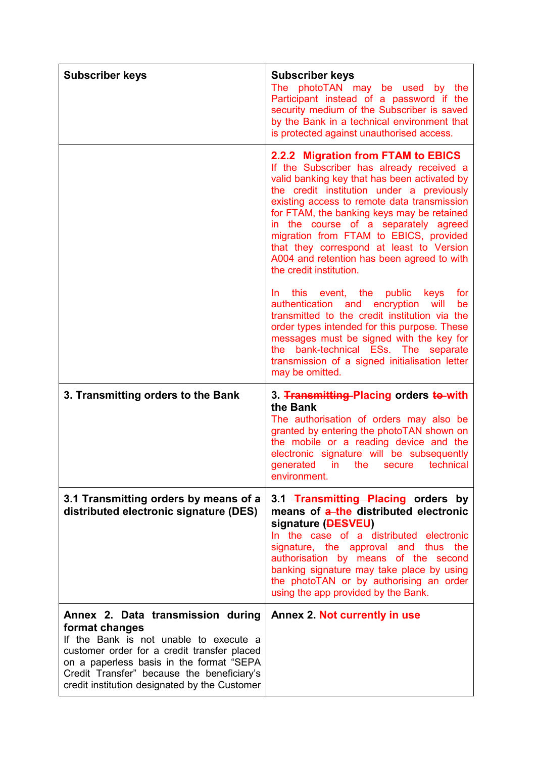| <b>Subscriber keys</b>                                                                                                                                                                                                                                                                  | <b>Subscriber keys</b><br>photoTAN may be used by the<br>The<br>Participant instead of a password if the<br>security medium of the Subscriber is saved<br>by the Bank in a technical environment that<br>is protected against unauthorised access.                                                                                                                                                                                                                              |
|-----------------------------------------------------------------------------------------------------------------------------------------------------------------------------------------------------------------------------------------------------------------------------------------|---------------------------------------------------------------------------------------------------------------------------------------------------------------------------------------------------------------------------------------------------------------------------------------------------------------------------------------------------------------------------------------------------------------------------------------------------------------------------------|
|                                                                                                                                                                                                                                                                                         | 2.2.2 Migration from FTAM to EBICS<br>If the Subscriber has already received a<br>valid banking key that has been activated by<br>the credit institution under a previously<br>existing access to remote data transmission<br>for FTAM, the banking keys may be retained<br>in the course of a separately agreed<br>migration from FTAM to EBICS, provided<br>that they correspond at least to Version<br>A004 and retention has been agreed to with<br>the credit institution. |
|                                                                                                                                                                                                                                                                                         | this event, the public keys<br>for<br>In in<br>authentication and encryption<br>will<br>be<br>transmitted to the credit institution via the<br>order types intended for this purpose. These<br>messages must be signed with the key for<br>the bank-technical ESs. The separate<br>transmission of a signed initialisation letter<br>may be omitted.                                                                                                                            |
| 3. Transmitting orders to the Bank                                                                                                                                                                                                                                                      | 3. Transmitting Placing orders to with<br>the Bank<br>The authorisation of orders may also be<br>granted by entering the photoTAN shown on<br>the mobile or a reading device and the<br>electronic signature will be subsequently<br>generated in the secure technical<br>environment.                                                                                                                                                                                          |
| 3.1 Transmitting orders by means of a<br>distributed electronic signature (DES)                                                                                                                                                                                                         | 3.1 Transmitting Placing orders by<br>means of a-the distributed electronic<br>signature ( <b>DESVEU</b> )<br>In the case of a distributed electronic<br>signature, the approval and thus the<br>authorisation by means of the second<br>banking signature may take place by using<br>the photoTAN or by authorising an order<br>using the app provided by the Bank.                                                                                                            |
| Annex 2. Data transmission during<br>format changes<br>If the Bank is not unable to execute a<br>customer order for a credit transfer placed<br>on a paperless basis in the format "SEPA<br>Credit Transfer" because the beneficiary's<br>credit institution designated by the Customer | Annex 2. Not currently in use                                                                                                                                                                                                                                                                                                                                                                                                                                                   |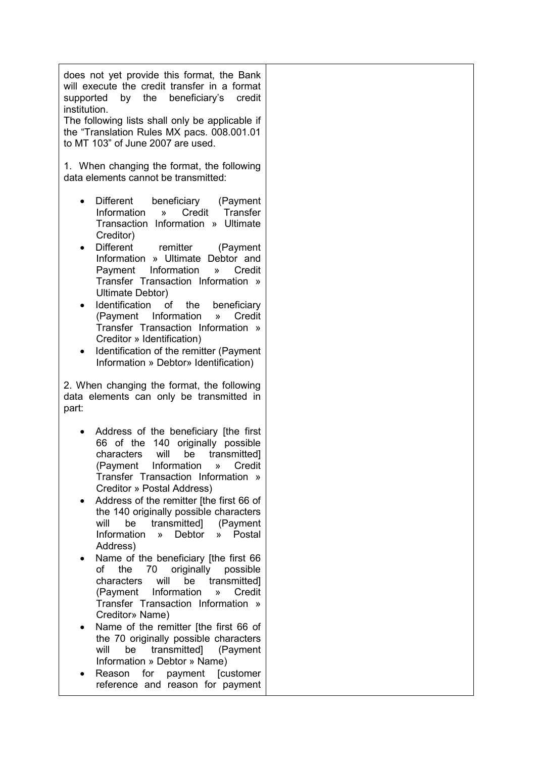does not yet provide this format, the Bank will execute the credit transfer in a format supported by the beneficiary's credit institution.

The following lists shall only be applicable if the "Translation Rules MX pacs. 008.001.01 to MT 103" of June 2007 are used.

1. When changing the format, the following data elements cannot be transmitted:

- Different beneficiary (Payment Information » Credit Transfer Transaction Information » Ultimate Creditor)
- Different remitter (Payment Information » Ultimate Debtor and Payment Information » Credit Transfer Transaction Information » Ultimate Debtor)
- Identification of the beneficiary (Payment Information » Credit Transfer Transaction Information » Creditor » Identification)
- Identification of the remitter (Payment Information » Debtor» Identification)

2. When changing the format, the following data elements can only be transmitted in part:

- Address of the beneficiary [the first 66 of the 140 originally possible characters will be transmitted] (Payment Information » Credit Transfer Transaction Information » Creditor » Postal Address)
- Address of the remitter [the first 66 of the 140 originally possible characters will be transmitted] (Payment<br>Information » Debtor » Postal Information » Debtor Address)
- Name of the beneficiary [the first 66 of the 70 originally possible characters will be transmitted] (Payment Information » Credit Transfer Transaction Information » Creditor» Name)
- Name of the remitter [the first 66 of the 70 originally possible characters will be transmitted] (Payment Information » Debtor » Name)
- Reason for payment [customer reference and reason for payment